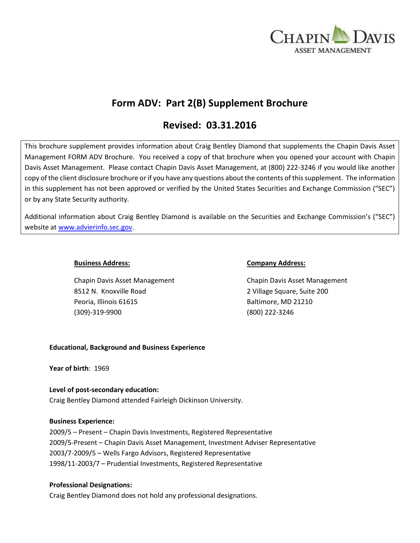

# **Form ADV: Part 2(B) Supplement Brochure**

## **Revised: 03.31.2016**

This brochure supplement provides information about Craig Bentley Diamond that supplements the Chapin Davis Asset Management FORM ADV Brochure. You received a copy of that brochure when you opened your account with Chapin Davis Asset Management. Please contact Chapin Davis Asset Management, at (800) 222-3246 if you would like another copy of the client disclosure brochure or if you have any questions about the contents of this supplement. The information in this supplement has not been approved or verified by the United States Securities and Exchange Commission ("SEC") or by any State Security authority.

Additional information about Craig Bentley Diamond is available on the Securities and Exchange Commission's ("SEC") website at [www.advierinfo.sec.gov.](http://www.advierinfo.sec.gov/)

Chapin Davis Asset Management Chapin Davis Asset Management 8512 N. Knoxville Road 2 Village Square, Suite 200 Peoria, Illinois 61615 Baltimore, MD 21210 (309)-319-9900 (800) 222-3246

#### **Business Address: Company Address:**

#### **Educational, Background and Business Experience**

**Year of birth**: 1969

## **Level of post-secondary education:**

Craig Bentley Diamond attended Fairleigh Dickinson University.

#### **Business Experience:**

2009/5 – Present – Chapin Davis Investments, Registered Representative 2009/5-Present – Chapin Davis Asset Management, Investment Adviser Representative 2003/7-2009/5 – Wells Fargo Advisors, Registered Representative 1998/11-2003/7 – Prudential Investments, Registered Representative

#### **Professional Designations:**

Craig Bentley Diamond does not hold any professional designations.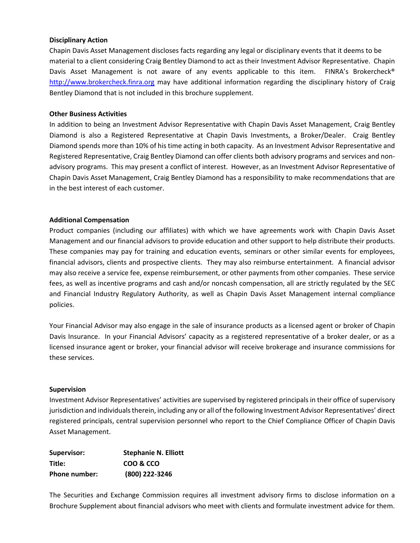#### **Disciplinary Action**

Chapin Davis Asset Management discloses facts regarding any legal or disciplinary events that it deems to be material to a client considering Craig Bentley Diamond to act as their Investment Advisor Representative. Chapin Davis Asset Management is not aware of any events applicable to this item. FINRA's Brokercheck® [http://www.brokercheck.finra.org](http://www.brokercheck.finra.org/) may have additional information regarding the disciplinary history of Craig Bentley Diamond that is not included in this brochure supplement.

#### **Other Business Activities**

In addition to being an Investment Advisor Representative with Chapin Davis Asset Management, Craig Bentley Diamond is also a Registered Representative at Chapin Davis Investments, a Broker/Dealer. Craig Bentley Diamond spends more than 10% of his time acting in both capacity. As an Investment Advisor Representative and Registered Representative, Craig Bentley Diamond can offer clients both advisory programs and services and nonadvisory programs. This may present a conflict of interest. However, as an Investment Advisor Representative of Chapin Davis Asset Management, Craig Bentley Diamond has a responsibility to make recommendations that are in the best interest of each customer.

#### **Additional Compensation**

Product companies (including our affiliates) with which we have agreements work with Chapin Davis Asset Management and our financial advisors to provide education and other support to help distribute their products. These companies may pay for training and education events, seminars or other similar events for employees, financial advisors, clients and prospective clients. They may also reimburse entertainment. A financial advisor may also receive a service fee, expense reimbursement, or other payments from other companies. These service fees, as well as incentive programs and cash and/or noncash compensation, all are strictly regulated by the SEC and Financial Industry Regulatory Authority, as well as Chapin Davis Asset Management internal compliance policies.

Your Financial Advisor may also engage in the sale of insurance products as a licensed agent or broker of Chapin Davis Insurance. In your Financial Advisors' capacity as a registered representative of a broker dealer, or as a licensed insurance agent or broker, your financial advisor will receive brokerage and insurance commissions for these services.

#### **Supervision**

Investment Advisor Representatives' activities are supervised by registered principals in their office of supervisory jurisdiction and individuals therein, including any or all of the following Investment Advisor Representatives' direct registered principals, central supervision personnel who report to the Chief Compliance Officer of Chapin Davis Asset Management.

| Supervisor:   | <b>Stephanie N. Elliott</b> |
|---------------|-----------------------------|
| Title:        | COO & CCO                   |
| Phone number: | (800) 222-3246              |

The Securities and Exchange Commission requires all investment advisory firms to disclose information on a Brochure Supplement about financial advisors who meet with clients and formulate investment advice for them.